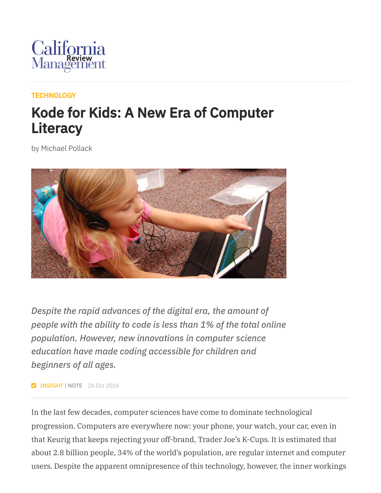

## **[TECHNOLOGY](https://cmr.berkeley.edu/browse/topics/technology/)**

## Kode for Kids: A New Era of Computer **Literacy**

by Michael Pollack



*Despite the rapid advances of the digital era, the amount of people with the ability to code is less than 1% of the total online population. However, new innovations in computer science education have made coding accessible for children and beginners of all ages.*

**Z INSIGHT | NOTE** 26 Oct 2016

In the last few decades, computer sciences have come to dominate technological progression. Computers are everywhere now: your phone, your watch, your car, even in that Keurig that keeps rejecting your off-brand, Trader Joe's K-Cups. It is estimated that about 2.8 billion people, 34% of the world's population, are regular internet and computer users. Despite the apparent omnipresence of this technology, however, the inner workings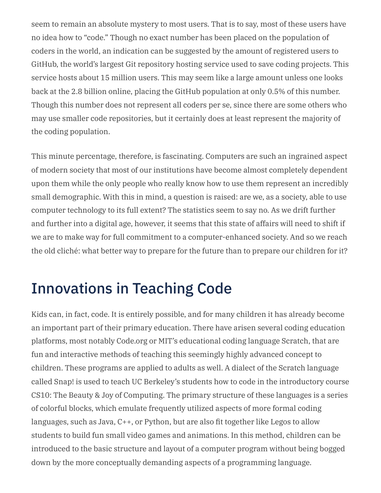seem to remain an absolute mystery to most users. That is to say, most of these users have no idea how to "code." Though no exact number has been placed on the population of coders in the world, an indication can be suggested by the amount of registered users to GitHub, the world's largest Git repository hosting service used to save coding projects. This service hosts about 15 million users. This may seem like a large amount unless one looks back at the 2.8 billion online, placing the GitHub population at only 0.5% of this number. Though this number does not represent all coders per se, since there are some others who may use smaller code repositories, but it certainly does at least represent the majority of the coding population.

This minute percentage, therefore, is fascinating. Computers are such an ingrained aspect of modern society that most of our institutions have become almost completely dependent upon them while the only people who really know how to use them represent an incredibly small demographic. With this in mind, a question is raised: are we, as a society, able to use computer technology to its full extent? The statistics seem to say no. As we drift further and further into a digital age, however, it seems that this state of affairs will need to shift if we are to make way for full commitment to a computer-enhanced society. And so we reach the old cliché: what better way to prepare for the future than to prepare our children for it?

## Innovations in Teaching Code

Kids can, in fact, code. It is entirely possible, and for many children it has already become an important part of their primary education. There have arisen several coding education platforms, most notably Code.org or MIT's educational coding language Scratch, that are fun and interactive methods of teaching this seemingly highly advanced concept to children. These programs are applied to adults as well. A dialect of the Scratch language called Snap! is used to teach UC Berkeley's students how to code in the introductory course CS10: The Beauty & Joy of Computing. The primary structure of these languages is a series of colorful blocks, which emulate frequently utilized aspects of more formal coding languages, such as Java, C++, or Python, but are also fit together like Legos to allow students to build fun small video games and animations. In this method, children can be introduced to the basic structure and layout of a computer program without being bogged down by the more conceptually demanding aspects of a programming language.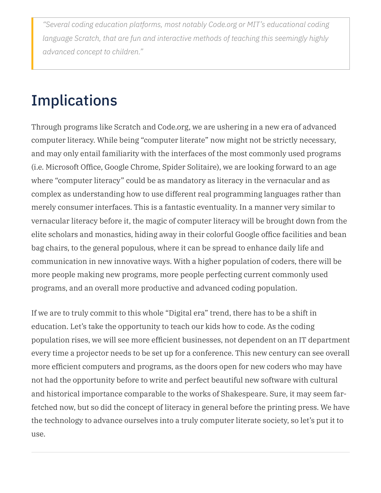*"Several coding education platforms, most notably Code.org or MIT's educational coding language Scratch, that are fun and interactive methods of teaching this seemingly highly advanced concept to children."*

## **Implications**

Through programs like Scratch and Code.org, we are ushering in a new era of advanced computer literacy. While being "computer literate" now might not be strictly necessary, and may only entail familiarity with the interfaces of the most commonly used programs (i.e. Microsoft Office, Google Chrome, Spider Solitaire), we are looking forward to an age where "computer literacy" could be as mandatory as literacy in the vernacular and as complex as understanding how to use different real programming languages rather than merely consumer interfaces. This is a fantastic eventuality. In a manner very similar to vernacular literacy before it, the magic of computer literacy will be brought down from the elite scholars and monastics, hiding away in their colorful Google office facilities and bean bag chairs, to the general populous, where it can be spread to enhance daily life and communication in new innovative ways. With a higher population of coders, there will be more people making new programs, more people perfecting current commonly used programs, and an overall more productive and advanced coding population.

If we are to truly commit to this whole "Digital era" trend, there has to be a shift in education. Let's take the opportunity to teach our kids how to code. As the coding population rises, we will see more efficient businesses, not dependent on an IT department every time a projector needs to be set up for a conference. This new century can see overall more efficient computers and programs, as the doors open for new coders who may have not had the opportunity before to write and perfect beautiful new software with cultural and historical importance comparable to the works of Shakespeare. Sure, it may seem farfetched now, but so did the concept of literacy in general before the printing press. We have the technology to advance ourselves into a truly computer literate society, so let's put it to use.